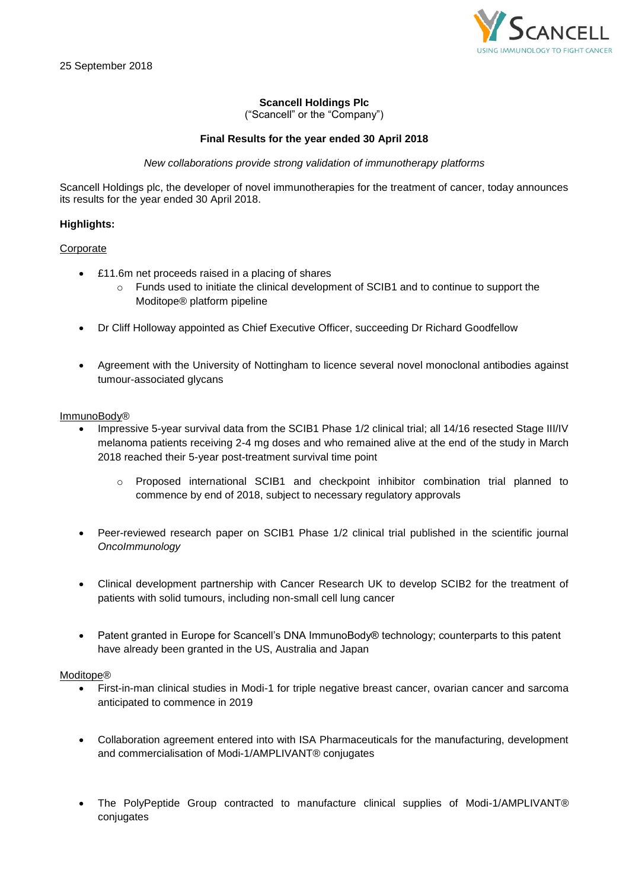

# **Scancell Holdings Plc**

("Scancell" or the "Company")

## **Final Results for the year ended 30 April 2018**

## *New collaborations provide strong validation of immunotherapy platforms*

Scancell Holdings plc, the developer of novel immunotherapies for the treatment of cancer, today announces its results for the year ended 30 April 2018.

## **Highlights:**

# Corporate

- £11.6m net proceeds raised in a placing of shares
	- o Funds used to initiate the clinical development of SCIB1 and to continue to support the Moditope® platform pipeline
- Dr Cliff Holloway appointed as Chief Executive Officer, succeeding Dr Richard Goodfellow
- Agreement with the University of Nottingham to licence several novel monoclonal antibodies against tumour-associated glycans

## ImmunoBody®

- Impressive 5-year survival data from the SCIB1 Phase 1/2 clinical trial; all 14/16 resected Stage III/IV melanoma patients receiving 2-4 mg doses and who remained alive at the end of the study in March 2018 reached their 5-year post-treatment survival time point
	- o Proposed international SCIB1 and checkpoint inhibitor combination trial planned to commence by end of 2018, subject to necessary regulatory approvals
- Peer-reviewed research paper on SCIB1 Phase 1/2 clinical trial published in the scientific journal *OncoImmunology*
- Clinical development partnership with Cancer Research UK to develop SCIB2 for the treatment of patients with solid tumours, including non-small cell lung cancer
- Patent granted in Europe for Scancell's DNA ImmunoBody® technology; counterparts to this patent have already been granted in the US, Australia and Japan

## Moditope®

- First-in-man clinical studies in Modi-1 for triple negative breast cancer, ovarian cancer and sarcoma anticipated to commence in 2019
- Collaboration agreement entered into with ISA Pharmaceuticals for the manufacturing, development and commercialisation of Modi-1/AMPLIVANT® conjugates
- The PolyPeptide Group contracted to manufacture clinical supplies of Modi-1/AMPLIVANT® conjugates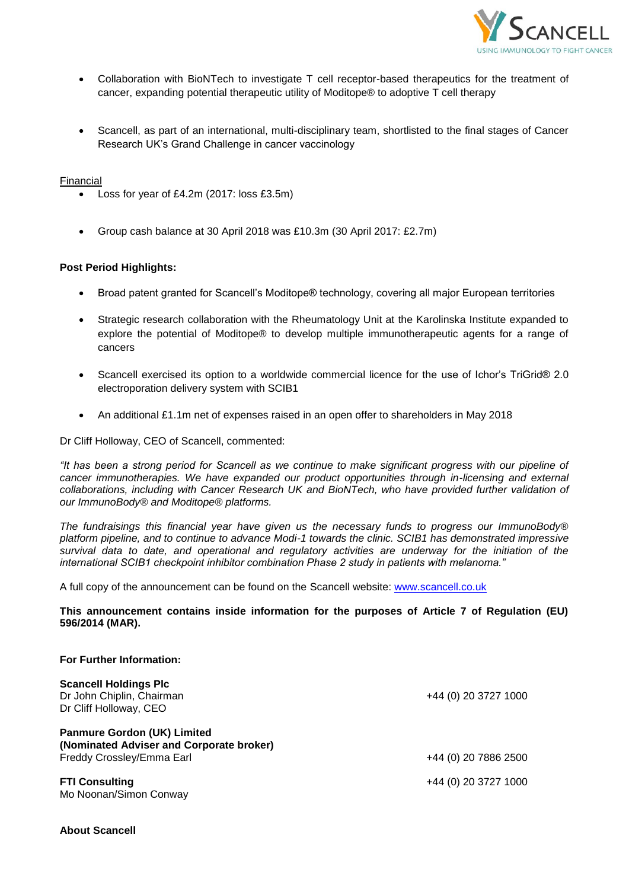

- Collaboration with BioNTech to investigate T cell receptor-based therapeutics for the treatment of cancer, expanding potential therapeutic utility of Moditope® to adoptive T cell therapy
- Scancell, as part of an international, multi-disciplinary team, shortlisted to the final stages of Cancer Research UK's Grand Challenge in cancer vaccinology

## Financial

- Loss for year of £4.2m (2017: loss £3.5m)
- Group cash balance at 30 April 2018 was £10.3m (30 April 2017: £2.7m)

## **Post Period Highlights:**

- Broad patent granted for Scancell's Moditope® technology, covering all major European territories
- Strategic research collaboration with the Rheumatology Unit at the Karolinska Institute expanded to explore the potential of Moditope® to develop multiple immunotherapeutic agents for a range of cancers
- Scancell exercised its option to a worldwide commercial licence for the use of Ichor's TriGrid® 2.0 electroporation delivery system with SCIB1
- An additional £1.1m net of expenses raised in an open offer to shareholders in May 2018

Dr Cliff Holloway, CEO of Scancell, commented:

*"It has been a strong period for Scancell as we continue to make significant progress with our pipeline of cancer immunotherapies. We have expanded our product opportunities through in-licensing and external collaborations, including with Cancer Research UK and BioNTech, who have provided further validation of our ImmunoBody® and Moditope® platforms.*

*The fundraisings this financial year have given us the necessary funds to progress our ImmunoBody® platform pipeline, and to continue to advance Modi-1 towards the clinic. SCIB1 has demonstrated impressive survival data to date, and operational and regulatory activities are underway for the initiation of the international SCIB1 checkpoint inhibitor combination Phase 2 study in patients with melanoma."*

A full copy of the announcement can be found on the Scancell website: [www.scancell.co.uk](http://www.scancell.co.uk/)

**This announcement contains inside information for the purposes of Article 7 of Regulation (EU) 596/2014 (MAR).**

| <b>For Further Information:</b>                                                     |                      |
|-------------------------------------------------------------------------------------|----------------------|
| <b>Scancell Holdings Plc</b><br>Dr John Chiplin, Chairman<br>Dr Cliff Holloway, CEO | +44 (0) 20 3727 1000 |
| <b>Panmure Gordon (UK) Limited</b><br>(Nominated Adviser and Corporate broker)      |                      |
| Freddy Crossley/Emma Earl                                                           | +44 (0) 20 7886 2500 |
| <b>FTI Consulting</b><br>Mo Noonan/Simon Conway                                     | +44 (0) 20 3727 1000 |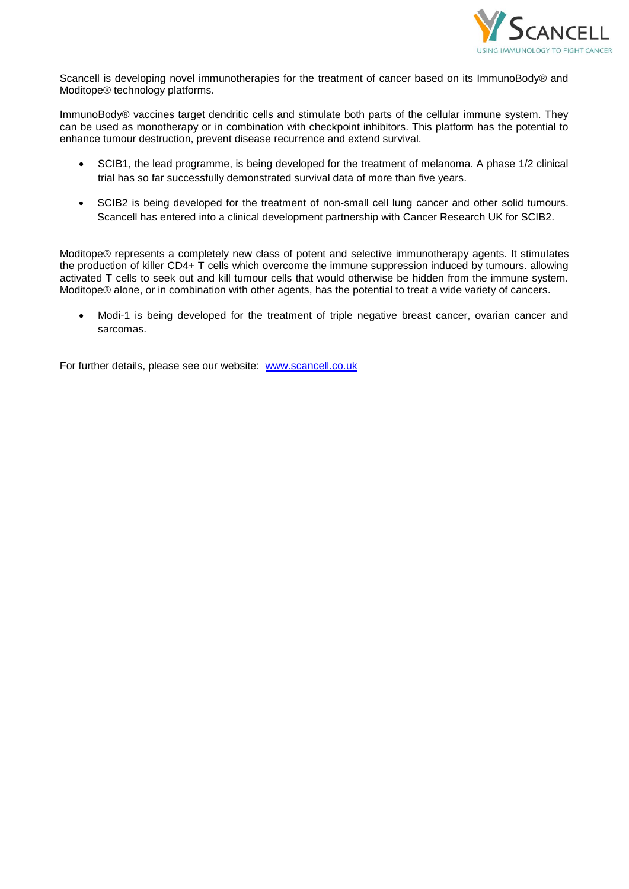

Scancell is developing novel immunotherapies for the treatment of cancer based on its ImmunoBody® and Moditope® technology platforms.

ImmunoBody® vaccines target dendritic cells and stimulate both parts of the cellular immune system. They can be used as monotherapy or in combination with checkpoint inhibitors. This platform has the potential to enhance tumour destruction, prevent disease recurrence and extend survival.

- SCIB1, the lead programme, is being developed for the treatment of melanoma. A phase 1/2 clinical trial has so far successfully demonstrated survival data of more than five years.
- SCIB2 is being developed for the treatment of non-small cell lung cancer and other solid tumours. Scancell has entered into a clinical development partnership with Cancer Research UK for SCIB2.

Moditope® represents a completely new class of potent and selective immunotherapy agents. It stimulates the production of killer CD4+ T cells which overcome the immune suppression induced by tumours. allowing activated T cells to seek out and kill tumour cells that would otherwise be hidden from the immune system. Moditope® alone, or in combination with other agents, has the potential to treat a wide variety of cancers.

• Modi-1 is being developed for the treatment of triple negative breast cancer, ovarian cancer and sarcomas.

For further details, please see our website: [www.scancell.co.uk](http://www.scancell.co.uk/)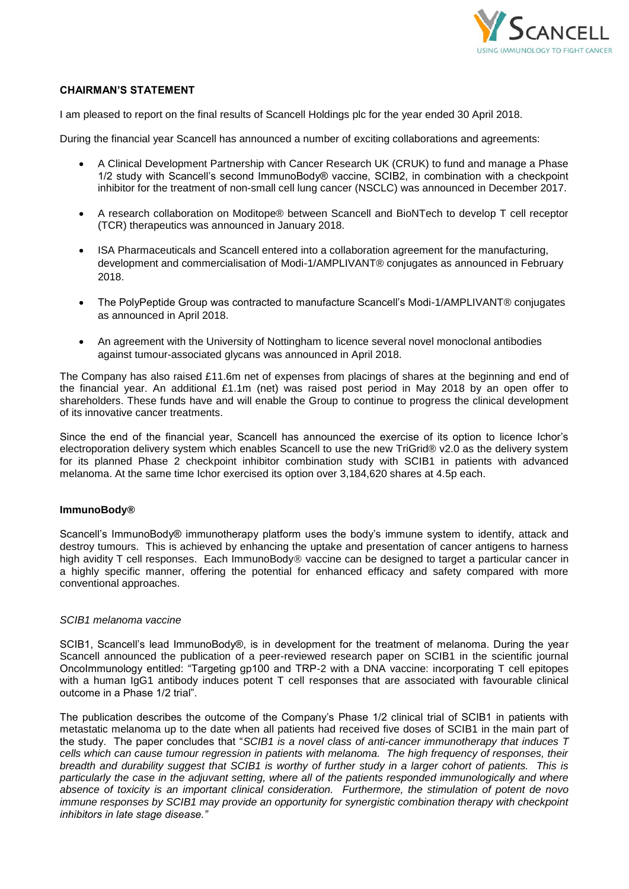

## **CHAIRMAN'S STATEMENT**

I am pleased to report on the final results of Scancell Holdings plc for the year ended 30 April 2018.

During the financial year Scancell has announced a number of exciting collaborations and agreements:

- A Clinical Development Partnership with Cancer Research UK (CRUK) to fund and manage a Phase 1/2 study with Scancell's second ImmunoBody® vaccine, SCIB2, in combination with a checkpoint inhibitor for the treatment of non-small cell lung cancer (NSCLC) was announced in December 2017.
- A research collaboration on Moditope® between Scancell and BioNTech to develop T cell receptor (TCR) therapeutics was announced in January 2018.
- ISA Pharmaceuticals and Scancell entered into a collaboration agreement for the manufacturing, development and commercialisation of Modi-1/AMPLIVANT® conjugates as announced in February 2018.
- The PolyPeptide Group was contracted to manufacture Scancell's Modi-1/AMPLIVANT® conjugates as announced in April 2018.
- An agreement with the University of Nottingham to licence several novel monoclonal antibodies against tumour-associated glycans was announced in April 2018.

The Company has also raised £11.6m net of expenses from placings of shares at the beginning and end of the financial year. An additional £1.1m (net) was raised post period in May 2018 by an open offer to shareholders. These funds have and will enable the Group to continue to progress the clinical development of its innovative cancer treatments.

Since the end of the financial year, Scancell has announced the exercise of its option to licence Ichor's electroporation delivery system which enables Scancell to use the new TriGrid® v2.0 as the delivery system for its planned Phase 2 checkpoint inhibitor combination study with SCIB1 in patients with advanced melanoma. At the same time Ichor exercised its option over 3,184,620 shares at 4.5p each.

## **ImmunoBody®**

Scancell's ImmunoBody® immunotherapy platform uses the body's immune system to identify, attack and destroy tumours. This is achieved by enhancing the uptake and presentation of cancer antigens to harness high avidity T cell responses. Each ImmunoBody<sup>®</sup> vaccine can be designed to target a particular cancer in a highly specific manner, offering the potential for enhanced efficacy and safety compared with more conventional approaches.

## *SCIB1 melanoma vaccine*

SCIB1, Scancell's lead ImmunoBody®, is in development for the treatment of melanoma. During the year Scancell announced the publication of a peer-reviewed research paper on SCIB1 in the scientific journal OncoImmunology entitled: "Targeting gp100 and TRP-2 with a DNA vaccine: incorporating T cell epitopes with a human IgG1 antibody induces potent T cell responses that are associated with favourable clinical outcome in a Phase 1/2 trial".

The publication describes the outcome of the Company's Phase 1/2 clinical trial of SCIB1 in patients with metastatic melanoma up to the date when all patients had received five doses of SCIB1 in the main part of the study. The paper concludes that "*SCIB1 is a novel class of anti-cancer immunotherapy that induces T cells which can cause tumour regression in patients with melanoma. The high frequency of responses, their breadth and durability suggest that SCIB1 is worthy of further study in a larger cohort of patients. This is particularly the case in the adjuvant setting, where all of the patients responded immunologically and where absence of toxicity is an important clinical consideration. Furthermore, the stimulation of potent de novo immune responses by SCIB1 may provide an opportunity for synergistic combination therapy with checkpoint inhibitors in late stage disease."*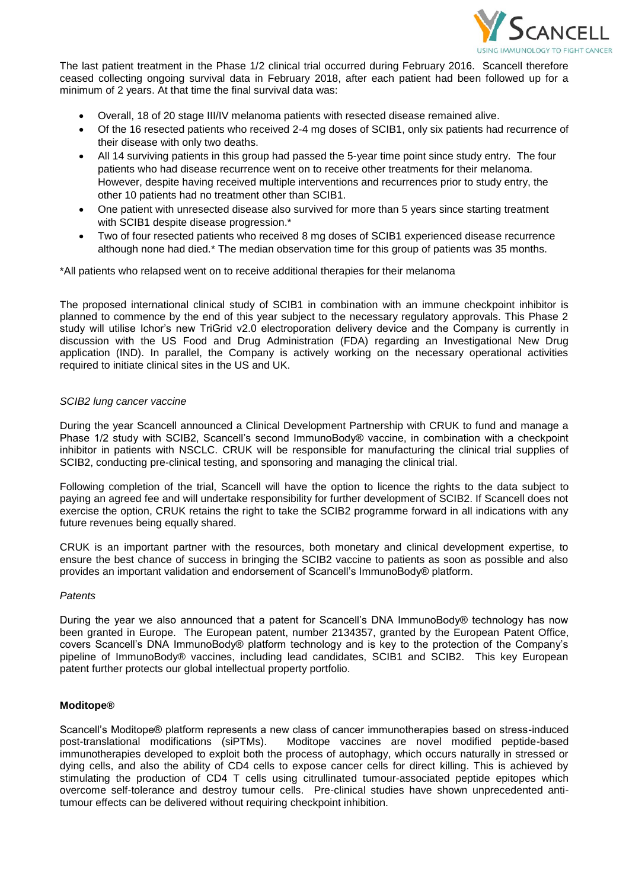

The last patient treatment in the Phase 1/2 clinical trial occurred during February 2016. Scancell therefore ceased collecting ongoing survival data in February 2018, after each patient had been followed up for a minimum of 2 years. At that time the final survival data was:

- Overall, 18 of 20 stage III/IV melanoma patients with resected disease remained alive.
- Of the 16 resected patients who received 2-4 mg doses of SCIB1, only six patients had recurrence of their disease with only two deaths.
- All 14 surviving patients in this group had passed the 5-year time point since study entry. The four patients who had disease recurrence went on to receive other treatments for their melanoma. However, despite having received multiple interventions and recurrences prior to study entry, the other 10 patients had no treatment other than SCIB1.
- One patient with unresected disease also survived for more than 5 years since starting treatment with SCIB1 despite disease progression.\*
- Two of four resected patients who received 8 mg doses of SCIB1 experienced disease recurrence although none had died.\* The median observation time for this group of patients was 35 months.

\*All patients who relapsed went on to receive additional therapies for their melanoma

The proposed international clinical study of SCIB1 in combination with an immune checkpoint inhibitor is planned to commence by the end of this year subject to the necessary regulatory approvals. This Phase 2 study will utilise Ichor's new TriGrid v2.0 electroporation delivery device and the Company is currently in discussion with the US Food and Drug Administration (FDA) regarding an Investigational New Drug application (IND). In parallel, the Company is actively working on the necessary operational activities required to initiate clinical sites in the US and UK.

## *SCIB2 lung cancer vaccine*

During the year Scancell announced a Clinical Development Partnership with CRUK to fund and manage a Phase 1/2 study with SCIB2, Scancell's second ImmunoBody® vaccine, in combination with a checkpoint inhibitor in patients with NSCLC. CRUK will be responsible for manufacturing the clinical trial supplies of SCIB2, conducting pre-clinical testing, and sponsoring and managing the clinical trial.

Following completion of the trial, Scancell will have the option to licence the rights to the data subject to paying an agreed fee and will undertake responsibility for further development of SCIB2. If Scancell does not exercise the option, CRUK retains the right to take the SCIB2 programme forward in all indications with any future revenues being equally shared.

CRUK is an important partner with the resources, both monetary and clinical development expertise, to ensure the best chance of success in bringing the SCIB2 vaccine to patients as soon as possible and also provides an important validation and endorsement of Scancell's ImmunoBody® platform.

## *Patents*

During the year we also announced that a patent for Scancell's DNA ImmunoBody® technology has now been granted in Europe. The European patent, number 2134357, granted by the European Patent Office, covers Scancell's DNA ImmunoBody® platform technology and is key to the protection of the Company's pipeline of ImmunoBody® vaccines, including lead candidates, SCIB1 and SCIB2. This key European patent further protects our global intellectual property portfolio.

# **Moditope®**

Scancell's Moditope® platform represents a new class of cancer immunotherapies based on stress-induced post-translational modifications (siPTMs). Moditope vaccines are novel modified peptide-based immunotherapies developed to exploit both the process of autophagy, which occurs naturally in stressed or dying cells, and also the ability of CD4 cells to expose cancer cells for direct killing. This is achieved by stimulating the production of CD4 T cells using citrullinated tumour-associated peptide epitopes which overcome self-tolerance and destroy tumour cells. Pre-clinical studies have shown unprecedented antitumour effects can be delivered without requiring checkpoint inhibition.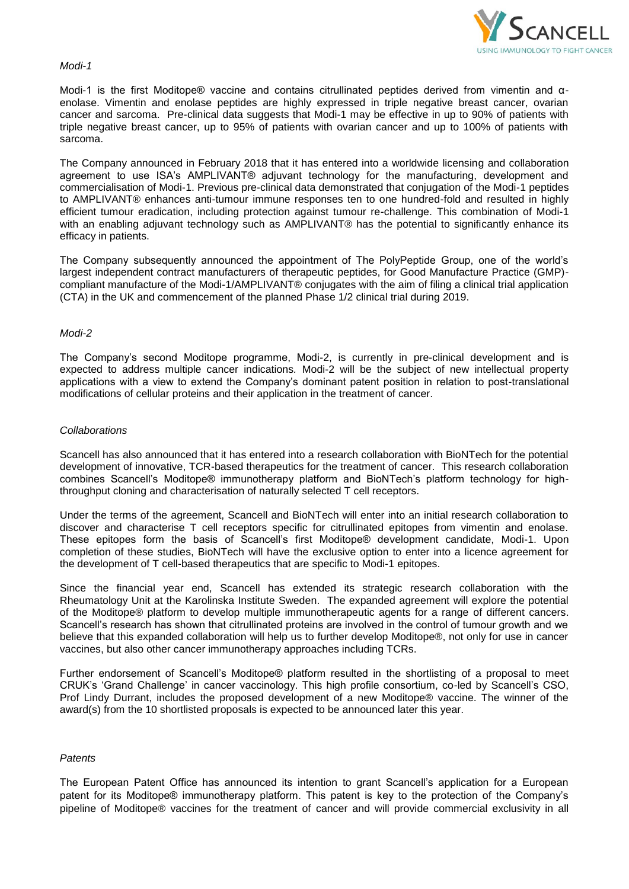

#### *Modi-1*

Modi-1 is the first Moditope® vaccine and contains citrullinated peptides derived from vimentin and αenolase. Vimentin and enolase peptides are highly expressed in triple negative breast cancer, ovarian cancer and sarcoma. Pre-clinical data suggests that Modi-1 may be effective in up to 90% of patients with triple negative breast cancer, up to 95% of patients with ovarian cancer and up to 100% of patients with sarcoma.

The Company announced in February 2018 that it has entered into a worldwide licensing and collaboration agreement to use ISA's AMPLIVANT® adjuvant technology for the manufacturing, development and commercialisation of Modi-1. Previous pre-clinical data demonstrated that conjugation of the Modi-1 peptides to AMPLIVANT® enhances anti-tumour immune responses ten to one hundred-fold and resulted in highly efficient tumour eradication, including protection against tumour re-challenge. This combination of Modi-1 with an enabling adjuvant technology such as AMPLIVANT® has the potential to significantly enhance its efficacy in patients.

The Company subsequently announced the appointment of The PolyPeptide Group, one of the world's largest independent contract manufacturers of therapeutic peptides, for Good Manufacture Practice (GMP) compliant manufacture of the Modi-1/AMPLIVANT® conjugates with the aim of filing a clinical trial application (CTA) in the UK and commencement of the planned Phase 1/2 clinical trial during 2019.

#### *Modi-2*

The Company's second Moditope programme, Modi-2, is currently in pre-clinical development and is expected to address multiple cancer indications*.* Modi-2 will be the subject of new intellectual property applications with a view to extend the Company's dominant patent position in relation to post-translational modifications of cellular proteins and their application in the treatment of cancer.

#### *Collaborations*

Scancell has also announced that it has entered into a research collaboration with BioNTech for the potential development of innovative, TCR-based therapeutics for the treatment of cancer. This research collaboration combines Scancell's Moditope® immunotherapy platform and BioNTech's platform technology for highthroughput cloning and characterisation of naturally selected T cell receptors.

Under the terms of the agreement, Scancell and BioNTech will enter into an initial research collaboration to discover and characterise T cell receptors specific for citrullinated epitopes from vimentin and enolase. These epitopes form the basis of Scancell's first Moditope® development candidate, Modi-1. Upon completion of these studies, BioNTech will have the exclusive option to enter into a licence agreement for the development of T cell-based therapeutics that are specific to Modi-1 epitopes.

Since the financial year end, Scancell has extended its strategic research collaboration with the Rheumatology Unit at the Karolinska Institute Sweden. The expanded agreement will explore the potential of the Moditope® platform to develop multiple immunotherapeutic agents for a range of different cancers. Scancell's research has shown that citrullinated proteins are involved in the control of tumour growth and we believe that this expanded collaboration will help us to further develop Moditope®, not only for use in cancer vaccines, but also other cancer immunotherapy approaches including TCRs.

Further endorsement of Scancell's Moditope® platform resulted in the shortlisting of a proposal to meet CRUK's 'Grand Challenge' in cancer vaccinology. This high profile consortium, co-led by Scancell's CSO, Prof Lindy Durrant, includes the proposed development of a new Moditope® vaccine. The winner of the award(s) from the 10 shortlisted proposals is expected to be announced later this year.

## *Patents*

The European Patent Office has announced its intention to grant Scancell's application for a European patent for its Moditope® immunotherapy platform. This patent is key to the protection of the Company's pipeline of Moditope® vaccines for the treatment of cancer and will provide commercial exclusivity in all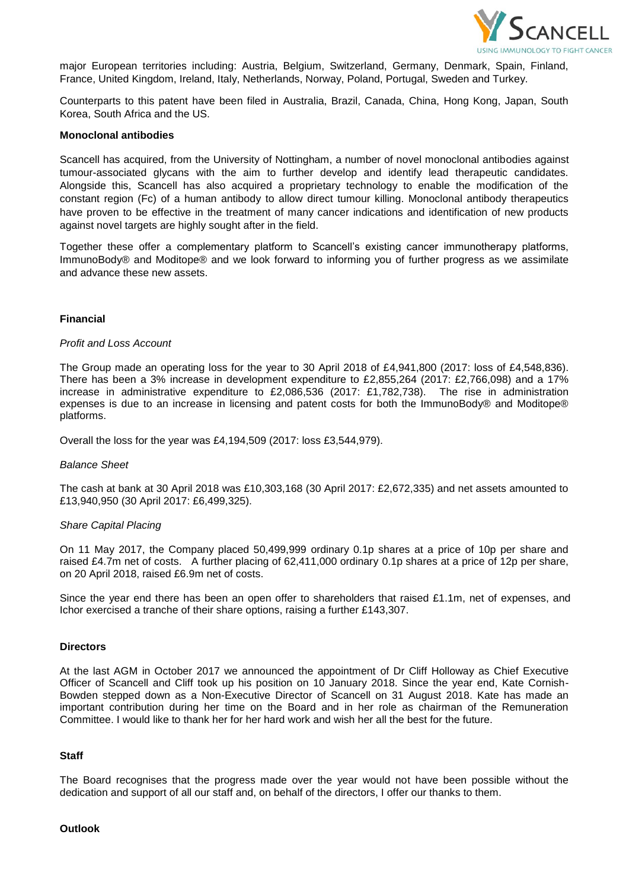

major European territories including: Austria, Belgium, Switzerland, Germany, Denmark, Spain, Finland, France, United Kingdom, Ireland, Italy, Netherlands, Norway, Poland, Portugal, Sweden and Turkey.

Counterparts to this patent have been filed in Australia, Brazil, Canada, China, Hong Kong, Japan, South Korea, South Africa and the US.

#### **Monoclonal antibodies**

Scancell has acquired, from the University of Nottingham, a number of novel monoclonal antibodies against tumour-associated glycans with the aim to further develop and identify lead therapeutic candidates. Alongside this, Scancell has also acquired a proprietary technology to enable the modification of the constant region (Fc) of a human antibody to allow direct tumour killing. Monoclonal antibody therapeutics have proven to be effective in the treatment of many cancer indications and identification of new products against novel targets are highly sought after in the field.

Together these offer a complementary platform to Scancell's existing cancer immunotherapy platforms, ImmunoBody® and Moditope® and we look forward to informing you of further progress as we assimilate and advance these new assets.

## **Financial**

#### *Profit and Loss Account*

The Group made an operating loss for the year to 30 April 2018 of £4,941,800 (2017: loss of £4,548,836). There has been a 3% increase in development expenditure to £2,855,264 (2017: £2,766,098) and a 17% increase in administrative expenditure to £2,086,536 (2017: £1,782,738). The rise in administration expenses is due to an increase in licensing and patent costs for both the ImmunoBody® and Moditope® platforms.

Overall the loss for the year was £4,194,509 (2017: loss £3,544,979).

#### *Balance Sheet*

The cash at bank at 30 April 2018 was £10,303,168 (30 April 2017: £2,672,335) and net assets amounted to £13,940,950 (30 April 2017: £6,499,325).

#### *Share Capital Placing*

On 11 May 2017, the Company placed 50,499,999 ordinary 0.1p shares at a price of 10p per share and raised £4.7m net of costs. A further placing of 62,411,000 ordinary 0.1p shares at a price of 12p per share, on 20 April 2018, raised £6.9m net of costs.

Since the year end there has been an open offer to shareholders that raised £1.1m, net of expenses, and Ichor exercised a tranche of their share options, raising a further £143,307.

#### **Directors**

At the last AGM in October 2017 we announced the appointment of Dr Cliff Holloway as Chief Executive Officer of Scancell and Cliff took up his position on 10 January 2018. Since the year end, Kate Cornish-Bowden stepped down as a Non-Executive Director of Scancell on 31 August 2018. Kate has made an important contribution during her time on the Board and in her role as chairman of the Remuneration Committee. I would like to thank her for her hard work and wish her all the best for the future.

#### **Staff**

The Board recognises that the progress made over the year would not have been possible without the dedication and support of all our staff and, on behalf of the directors, I offer our thanks to them.

## **Outlook**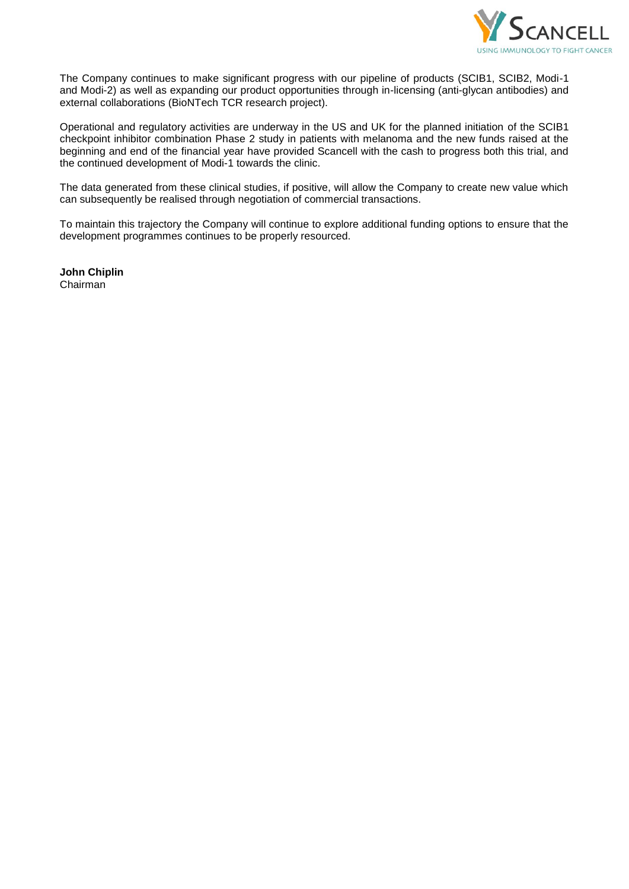

The Company continues to make significant progress with our pipeline of products (SCIB1, SCIB2, Modi-1 and Modi-2) as well as expanding our product opportunities through in-licensing (anti-glycan antibodies) and external collaborations (BioNTech TCR research project).

Operational and regulatory activities are underway in the US and UK for the planned initiation of the SCIB1 checkpoint inhibitor combination Phase 2 study in patients with melanoma and the new funds raised at the beginning and end of the financial year have provided Scancell with the cash to progress both this trial, and the continued development of Modi-1 towards the clinic.

The data generated from these clinical studies, if positive, will allow the Company to create new value which can subsequently be realised through negotiation of commercial transactions.

To maintain this trajectory the Company will continue to explore additional funding options to ensure that the development programmes continues to be properly resourced.

**John Chiplin** Chairman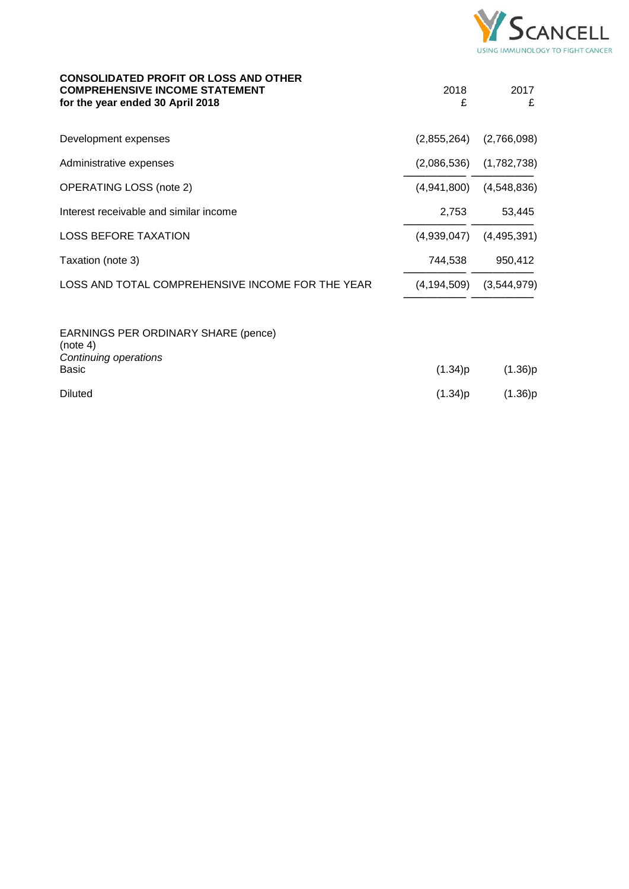

| <b>CONSOLIDATED PROFIT OR LOSS AND OTHER</b><br><b>COMPREHENSIVE INCOME STATEMENT</b><br>for the year ended 30 April 2018 | 2018<br>£     | 2017<br>£   |
|---------------------------------------------------------------------------------------------------------------------------|---------------|-------------|
| Development expenses                                                                                                      | (2,855,264)   | (2,766,098) |
| Administrative expenses                                                                                                   | (2,086,536)   | (1,782,738) |
| <b>OPERATING LOSS (note 2)</b>                                                                                            | (4,941,800)   | (4,548,836) |
| Interest receivable and similar income                                                                                    | 2,753         | 53,445      |
| <b>LOSS BEFORE TAXATION</b>                                                                                               | (4,939,047)   | (4,495,391) |
| Taxation (note 3)                                                                                                         | 744,538       | 950,412     |
| LOSS AND TOTAL COMPREHENSIVE INCOME FOR THE YEAR                                                                          | (4, 194, 509) | (3,544,979) |
| EARNINGS PER ORDINARY SHARE (pence)<br>(note 4)<br>Continuing operations<br>Basic                                         | (1.34)p       | (1.36)p     |
| <b>Diluted</b>                                                                                                            | (1.34)p       | (1.36)p     |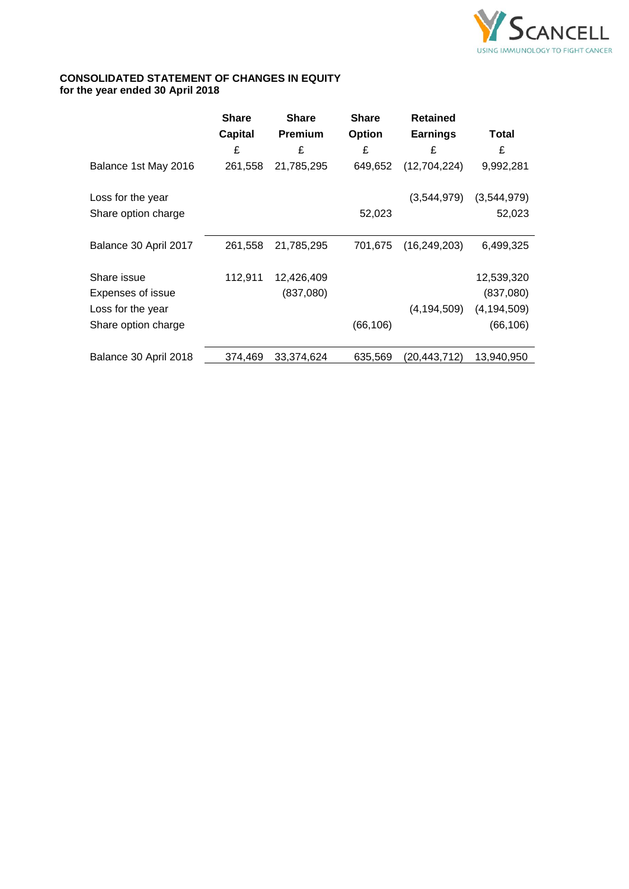

# **CONSOLIDATED STATEMENT OF CHANGES IN EQUITY for the year ended 30 April 2018**

|                       | <b>Share</b>   | <b>Share</b>   | <b>Share</b> | <b>Retained</b> |               |
|-----------------------|----------------|----------------|--------------|-----------------|---------------|
|                       | <b>Capital</b> | <b>Premium</b> | Option       | <b>Earnings</b> | Total         |
|                       | £              | £              | £            | £               | £             |
| Balance 1st May 2016  | 261,558        | 21,785,295     | 649,652      | (12,704,224)    | 9,992,281     |
| Loss for the year     |                |                |              | (3,544,979)     | (3,544,979)   |
| Share option charge   |                |                | 52,023       |                 | 52,023        |
| Balance 30 April 2017 | 261,558        | 21,785,295     | 701,675      | (16, 249, 203)  | 6,499,325     |
| Share issue           | 112,911        | 12,426,409     |              |                 | 12,539,320    |
| Expenses of issue     |                | (837,080)      |              |                 | (837,080)     |
| Loss for the year     |                |                |              | (4, 194, 509)   | (4, 194, 509) |
| Share option charge   |                |                | (66, 106)    |                 | (66, 106)     |
| Balance 30 April 2018 | 374,469        | 33,374,624     | 635,569      | (20,443,712)    | 13,940,950    |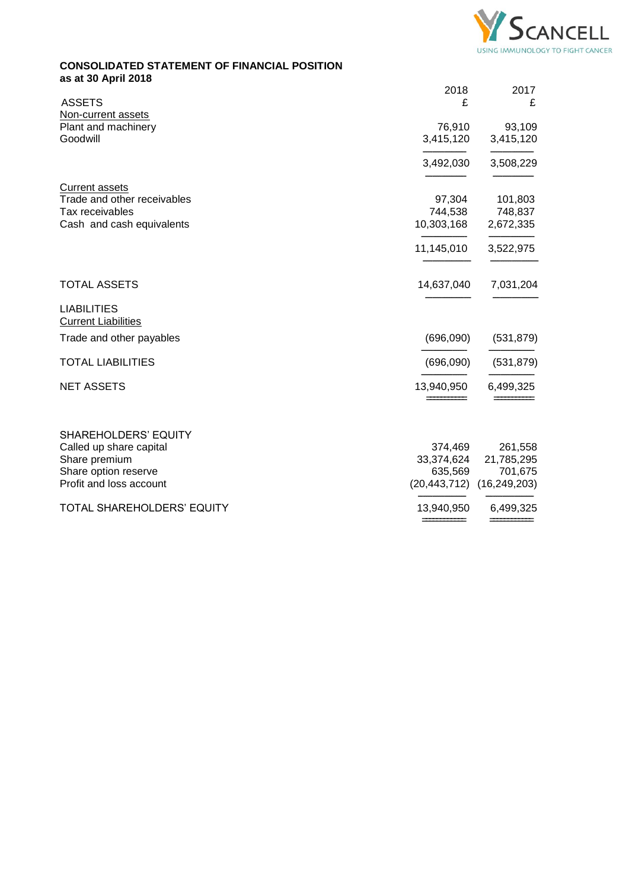

# **CONSOLIDATED STATEMENT OF FINANCIAL POSITION as at 30 April 2018**

| <b>ASSETS</b>                                    | 2018<br>£      | 2017<br>£      |
|--------------------------------------------------|----------------|----------------|
| Non-current assets                               |                |                |
| Plant and machinery                              | 76,910         | 93,109         |
| Goodwill                                         | 3,415,120      | 3,415,120      |
|                                                  | 3,492,030      | 3,508,229      |
| <b>Current assets</b>                            |                |                |
| Trade and other receivables                      | 97,304         | 101,803        |
| Tax receivables                                  | 744,538        | 748,837        |
| Cash and cash equivalents                        | 10,303,168     | 2,672,335      |
|                                                  | 11,145,010     | 3,522,975      |
| <b>TOTAL ASSETS</b>                              | 14,637,040     | 7,031,204      |
| <b>LIABILITIES</b><br><b>Current Liabilities</b> |                |                |
| Trade and other payables                         | (696,090)      | (531, 879)     |
|                                                  |                |                |
| <b>TOTAL LIABILITIES</b>                         | (696,090)      | (531, 879)     |
| <b>NET ASSETS</b>                                | 13,940,950     | 6,499,325      |
|                                                  |                |                |
| <b>SHAREHOLDERS' EQUITY</b>                      |                |                |
| Called up share capital                          | 374,469        | 261,558        |
| Share premium                                    | 33,374,624     | 21,785,295     |
| Share option reserve                             | 635,569        | 701,675        |
| Profit and loss account                          | (20, 443, 712) | (16, 249, 203) |
| TOTAL SHAREHOLDERS' EQUITY                       | 13,940,950     | 6,499,325      |
|                                                  |                |                |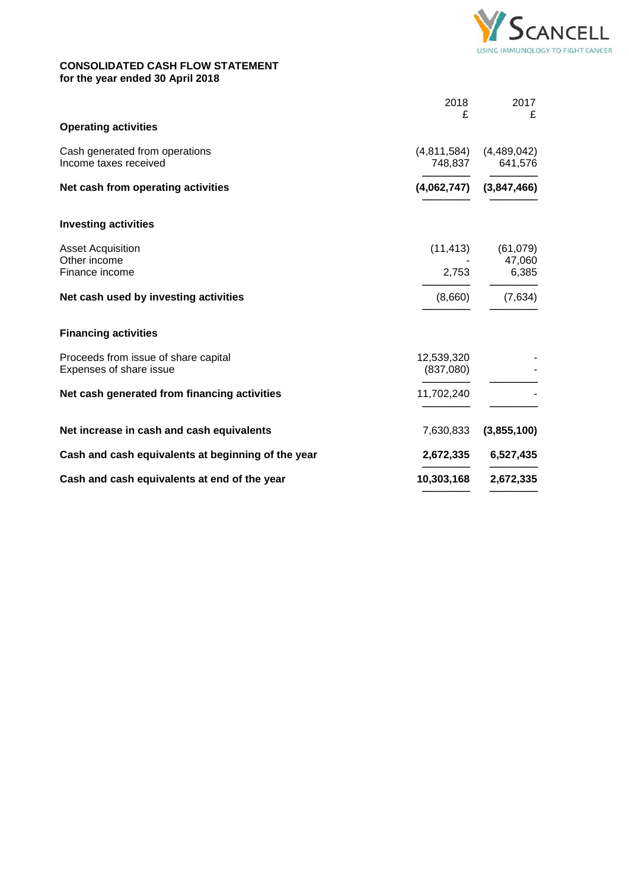

# **CONSOLIDATED CASH FLOW STATEMENT for the year ended 30 April 2018**

|                         | 2017                   |
|-------------------------|------------------------|
|                         | £                      |
| (4,811,584)<br>748,837  | (4,489,042)<br>641,576 |
| (4,062,747)             | (3,847,466)            |
|                         |                        |
| (11, 413)               | (61,079)<br>47,060     |
| 2,753                   | 6,385                  |
| (8,660)                 | (7,634)                |
|                         |                        |
| 12,539,320<br>(837,080) |                        |
| 11,702,240              |                        |
| 7,630,833               | (3,855,100)            |
| 2,672,335               | 6,527,435              |
| 10,303,168              | 2,672,335              |
|                         | 2018<br>£              |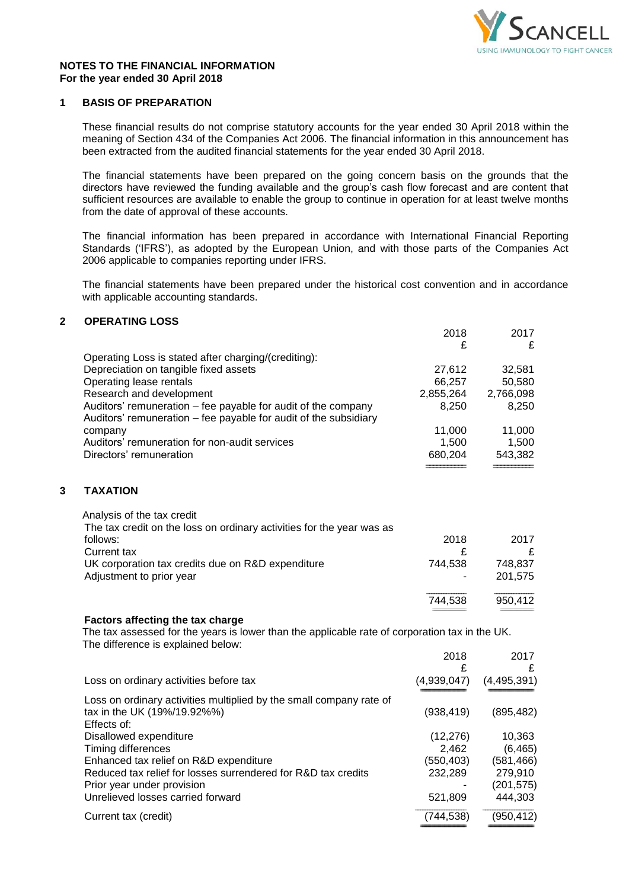

2018 2017

## **NOTES TO THE FINANCIAL INFORMATION For the year ended 30 April 2018**

# **1 BASIS OF PREPARATION**

These financial results do not comprise statutory accounts for the year ended 30 April 2018 within the meaning of Section 434 of the Companies Act 2006. The financial information in this announcement has been extracted from the audited financial statements for the year ended 30 April 2018.

The financial statements have been prepared on the going concern basis on the grounds that the directors have reviewed the funding available and the group's cash flow forecast and are content that sufficient resources are available to enable the group to continue in operation for at least twelve months from the date of approval of these accounts.

The financial information has been prepared in accordance with International Financial Reporting Standards ('IFRS'), as adopted by the European Union, and with those parts of the Companies Act 2006 applicable to companies reporting under IFRS.

The financial statements have been prepared under the historical cost convention and in accordance with applicable accounting standards.

# **2 OPERATING LOSS**

|   |                                                                                                                                           | £               | £               |
|---|-------------------------------------------------------------------------------------------------------------------------------------------|-----------------|-----------------|
|   | Operating Loss is stated after charging/(crediting):                                                                                      |                 |                 |
|   | Depreciation on tangible fixed assets                                                                                                     | 27,612          | 32,581          |
|   | Operating lease rentals                                                                                                                   | 66,257          | 50,580          |
|   | Research and development                                                                                                                  | 2,855,264       | 2,766,098       |
|   | Auditors' remuneration – fee payable for audit of the company                                                                             | 8,250           | 8,250           |
|   | Auditors' remuneration - fee payable for audit of the subsidiary                                                                          |                 |                 |
|   | company<br>Auditors' remuneration for non-audit services                                                                                  | 11,000<br>1,500 | 11,000<br>1,500 |
|   | Directors' remuneration                                                                                                                   | 680,204         | 543,382         |
|   |                                                                                                                                           |                 |                 |
|   |                                                                                                                                           |                 |                 |
| 3 | <b>TAXATION</b>                                                                                                                           |                 |                 |
|   | Analysis of the tax credit                                                                                                                |                 |                 |
|   | The tax credit on the loss on ordinary activities for the year was as                                                                     |                 |                 |
|   | follows:                                                                                                                                  | 2018            | 2017            |
|   | <b>Current tax</b>                                                                                                                        | £               | £               |
|   | UK corporation tax credits due on R&D expenditure                                                                                         | 744,538         | 748,837         |
|   | Adjustment to prior year                                                                                                                  |                 | 201,575         |
|   |                                                                                                                                           | 744,538         | 950,412         |
|   |                                                                                                                                           |                 |                 |
|   | <b>Factors affecting the tax charge</b><br>The tax assessed for the years is lower than the applicable rate of corporation tax in the UK. |                 |                 |
|   | The difference is explained below:                                                                                                        |                 |                 |
|   |                                                                                                                                           | 2018            | 2017            |
|   |                                                                                                                                           | £               | £               |
|   | Loss on ordinary activities before tax                                                                                                    | (4,939,047)     | (4, 495, 391)   |
|   | Loss on ordinary activities multiplied by the small company rate of                                                                       |                 |                 |
|   | tax in the UK (19%/19.92%%)                                                                                                               | (938, 419)      | (895, 482)      |
|   | Effects of:                                                                                                                               |                 |                 |
|   | Disallowed expenditure                                                                                                                    | (12, 276)       | 10,363          |
|   | Timing differences                                                                                                                        | 2,462           | (6, 465)        |
|   | Enhanced tax relief on R&D expenditure                                                                                                    | (550, 403)      | (581, 466)      |
|   | Reduced tax relief for losses surrendered for R&D tax credits                                                                             | 232,289         | 279,910         |
|   | Prior year under provision                                                                                                                |                 | (201, 575)      |
|   | Unrelieved losses carried forward                                                                                                         | 521,809         | 444,303         |
|   | Current tax (credit)                                                                                                                      | (744, 538)      | (950, 412)      |
|   |                                                                                                                                           |                 |                 |